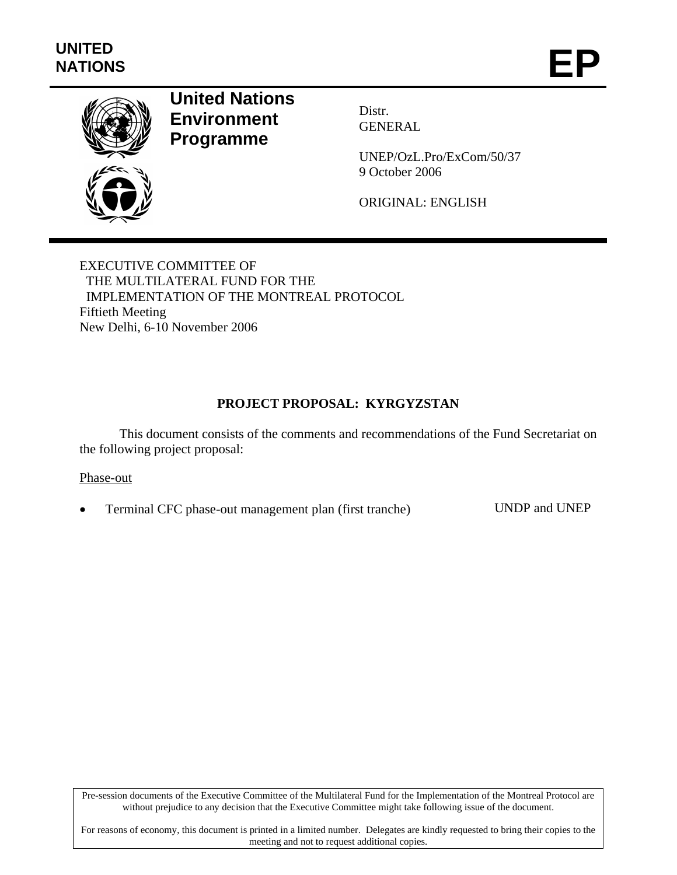

# **United Nations Environment Programme**

Distr. GENERAL

UNEP/OzL.Pro/ExCom/50/37 9 October 2006

ORIGINAL: ENGLISH

EXECUTIVE COMMITTEE OF THE MULTILATERAL FUND FOR THE IMPLEMENTATION OF THE MONTREAL PROTOCOL Fiftieth Meeting New Delhi, 6-10 November 2006

# **PROJECT PROPOSAL: KYRGYZSTAN**

This document consists of the comments and recommendations of the Fund Secretariat on the following project proposal:

#### Phase-out

• Terminal CFC phase-out management plan (first tranche) UNDP and UNEP

Pre-session documents of the Executive Committee of the Multilateral Fund for the Implementation of the Montreal Protocol are without prejudice to any decision that the Executive Committee might take following issue of the document.

For reasons of economy, this document is printed in a limited number. Delegates are kindly requested to bring their copies to the meeting and not to request additional copies.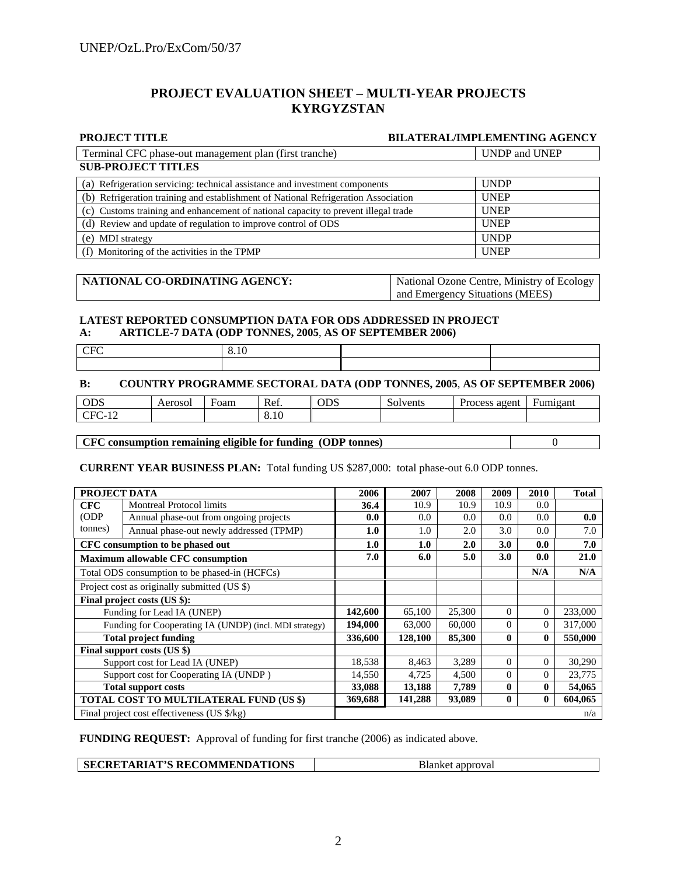#### **PROJECT EVALUATION SHEET – MULTI-YEAR PROJECTS KYRGYZSTAN**

| <b>PROJECT TITLE</b>                                                               | <b>BILATERAL/IMPLEMENTING AGENCY</b> |  |  |  |  |
|------------------------------------------------------------------------------------|--------------------------------------|--|--|--|--|
| Terminal CFC phase-out management plan (first tranche)                             | <b>UNDP</b> and <b>UNEP</b>          |  |  |  |  |
| <b>SUB-PROJECT TITLES</b>                                                          |                                      |  |  |  |  |
| (a) Refrigeration servicing: technical assistance and investment components        | <b>UNDP</b>                          |  |  |  |  |
| (b) Refrigeration training and establishment of National Refrigeration Association | <b>UNEP</b>                          |  |  |  |  |
| (c) Customs training and enhancement of national capacity to prevent illegal trade | <b>UNEP</b>                          |  |  |  |  |
| (d) Review and update of regulation to improve control of ODS                      | <b>UNEP</b>                          |  |  |  |  |
| (e) MDI strategy                                                                   | <b>UNDP</b>                          |  |  |  |  |
| (f) Monitoring of the activities in the TPMP                                       | <b>UNEP</b>                          |  |  |  |  |
|                                                                                    |                                      |  |  |  |  |

| NATIONAL CO-ORDINATING AGENCY: | National Ozone Centre, Ministry of Ecology |  |  |  |
|--------------------------------|--------------------------------------------|--|--|--|
|                                | and Emergency Situations (MEES)            |  |  |  |

#### **LATEST REPORTED CONSUMPTION DATA FOR ODS ADDRESSED IN PROJECT A: ARTICLE-7 DATA (ODP TONNES, 2005**, **AS OF SEPTEMBER 2006)**

| $\sim$ m $\sim$ | $\sim$<br>$\sim$ |  |
|-----------------|------------------|--|
|                 |                  |  |
|                 |                  |  |

#### **B: COUNTRY PROGRAMME SECTORAL DATA (ODP TONNES, 2005**, **AS OF SEPTEMBER 2006)**

| ODS          | $\sim$<br>оv. | Foam | Ref. | $\sim$ $\sim$ $\sim$<br>פעט | $\alpha$ | ↽<br>ngan<br><b>CARD 1980</b> |
|--------------|---------------|------|------|-----------------------------|----------|-------------------------------|
| $\pm 2$<br>ີ |               |      | 8.10 |                             |          |                               |

#### **CFC consumption remaining eligible for funding (ODP tonnes)** 0

#### **CURRENT YEAR BUSINESS PLAN:** Total funding US \$287,000: total phase-out 6.0 ODP tonnes.

| PROJECT DATA                            |                                                        | 2006    | 2007    | 2008   | 2009         | 2010         | <b>Total</b> |
|-----------------------------------------|--------------------------------------------------------|---------|---------|--------|--------------|--------------|--------------|
| <b>CFC</b>                              | <b>Montreal Protocol limits</b>                        | 36.4    | 10.9    | 10.9   | 10.9         | 0.0          |              |
| (ODP)                                   | Annual phase-out from ongoing projects                 | 0.0     | $0.0\,$ | 0.0    | 0.0          | 0.0          | 0.0          |
| tonnes)                                 | Annual phase-out newly addressed (TPMP)                | 1.0     | 1.0     | 2.0    | 3.0          | 0.0          | 7.0          |
|                                         | CFC consumption to be phased out                       | 1.0     | 1.0     | 2.0    | 3.0          | 0.0          | 7.0          |
|                                         | <b>Maximum allowable CFC consumption</b>               | 7.0     | 6.0     | 5.0    | 3.0          | 0.0          | 21.0         |
|                                         | Total ODS consumption to be phased-in (HCFCs)          |         |         |        |              | N/A          | N/A          |
|                                         | Project cost as originally submitted (US \$)           |         |         |        |              |              |              |
|                                         | Final project costs (US \$):                           |         |         |        |              |              |              |
|                                         | Funding for Lead IA (UNEP)                             | 142,600 | 65,100  | 25,300 | $\Omega$     | $\Omega$     | 233,000      |
|                                         | Funding for Cooperating IA (UNDP) (incl. MDI strategy) | 194,000 | 63,000  | 60,000 | $\Omega$     | 0            | 317,000      |
|                                         | <b>Total project funding</b>                           | 336,600 | 128,100 | 85,300 | $\bf{0}$     | $\mathbf{0}$ | 550,000      |
|                                         | Final support costs (US \$)                            |         |         |        |              |              |              |
|                                         | Support cost for Lead IA (UNEP)                        | 18,538  | 8,463   | 3,289  | $\Omega$     | $\Omega$     | 30,290       |
| Support cost for Cooperating IA (UNDP)  |                                                        | 14,550  | 4,725   | 4,500  | $\Omega$     | 0            | 23,775       |
| <b>Total support costs</b>              |                                                        | 33,088  | 13,188  | 7,789  | $\bf{0}$     | $\mathbf{0}$ | 54,065       |
| TOTAL COST TO MULTILATERAL FUND (US \$) |                                                        | 369,688 | 141,288 | 93,089 | $\mathbf{0}$ | $\mathbf{0}$ | 604,065      |
|                                         | Final project cost effectiveness (US \$/kg)            |         |         |        |              |              | n/a          |

**FUNDING REQUEST:** Approval of funding for first tranche (2006) as indicated above.

| <b>SECRETARIAT'S RECOMMENDATIONS</b> | Blanket approval |
|--------------------------------------|------------------|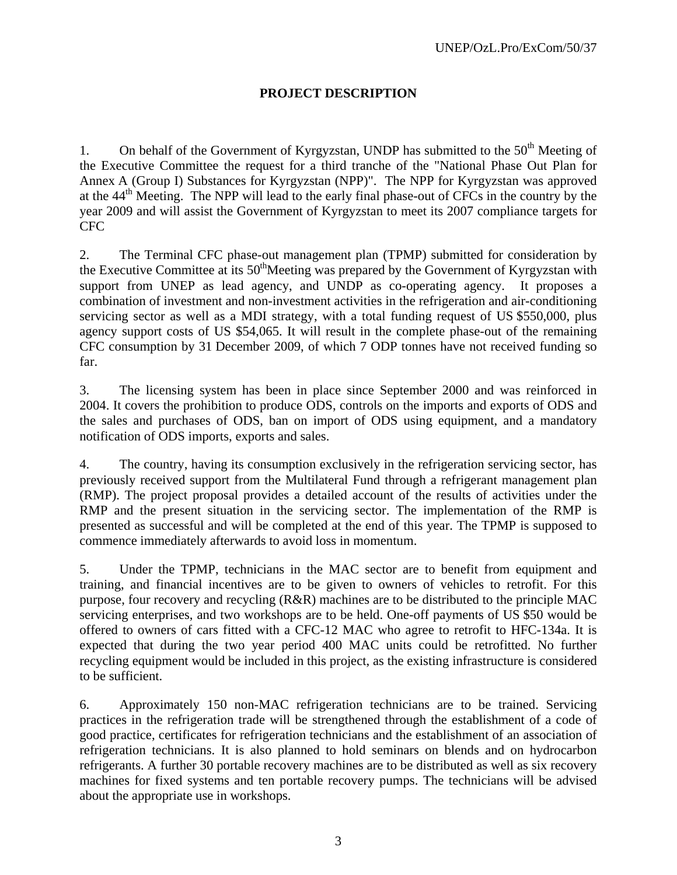## **PROJECT DESCRIPTION**

1. On behalf of the Government of Kyrgyzstan, UNDP has submitted to the  $50<sup>th</sup>$  Meeting of the Executive Committee the request for a third tranche of the "National Phase Out Plan for Annex A (Group I) Substances for Kyrgyzstan (NPP)". The NPP for Kyrgyzstan was approved at the 44<sup>th</sup> Meeting. The NPP will lead to the early final phase-out of CFCs in the country by the year 2009 and will assist the Government of Kyrgyzstan to meet its 2007 compliance targets for CFC

2. The Terminal CFC phase-out management plan (TPMP) submitted for consideration by the Executive Committee at its  $50<sup>th</sup>$ Meeting was prepared by the Government of Kyrgyzstan with support from UNEP as lead agency, and UNDP as co-operating agency. It proposes a combination of investment and non-investment activities in the refrigeration and air-conditioning servicing sector as well as a MDI strategy, with a total funding request of US \$550,000, plus agency support costs of US \$54,065. It will result in the complete phase-out of the remaining CFC consumption by 31 December 2009, of which 7 ODP tonnes have not received funding so far.

3. The licensing system has been in place since September 2000 and was reinforced in 2004. It covers the prohibition to produce ODS, controls on the imports and exports of ODS and the sales and purchases of ODS, ban on import of ODS using equipment, and a mandatory notification of ODS imports, exports and sales.

4. The country, having its consumption exclusively in the refrigeration servicing sector, has previously received support from the Multilateral Fund through a refrigerant management plan (RMP). The project proposal provides a detailed account of the results of activities under the RMP and the present situation in the servicing sector. The implementation of the RMP is presented as successful and will be completed at the end of this year. The TPMP is supposed to commence immediately afterwards to avoid loss in momentum.

5. Under the TPMP, technicians in the MAC sector are to benefit from equipment and training, and financial incentives are to be given to owners of vehicles to retrofit. For this purpose, four recovery and recycling (R&R) machines are to be distributed to the principle MAC servicing enterprises, and two workshops are to be held. One-off payments of US \$50 would be offered to owners of cars fitted with a CFC-12 MAC who agree to retrofit to HFC-134a. It is expected that during the two year period 400 MAC units could be retrofitted. No further recycling equipment would be included in this project, as the existing infrastructure is considered to be sufficient.

6. Approximately 150 non-MAC refrigeration technicians are to be trained. Servicing practices in the refrigeration trade will be strengthened through the establishment of a code of good practice, certificates for refrigeration technicians and the establishment of an association of refrigeration technicians. It is also planned to hold seminars on blends and on hydrocarbon refrigerants. A further 30 portable recovery machines are to be distributed as well as six recovery machines for fixed systems and ten portable recovery pumps. The technicians will be advised about the appropriate use in workshops.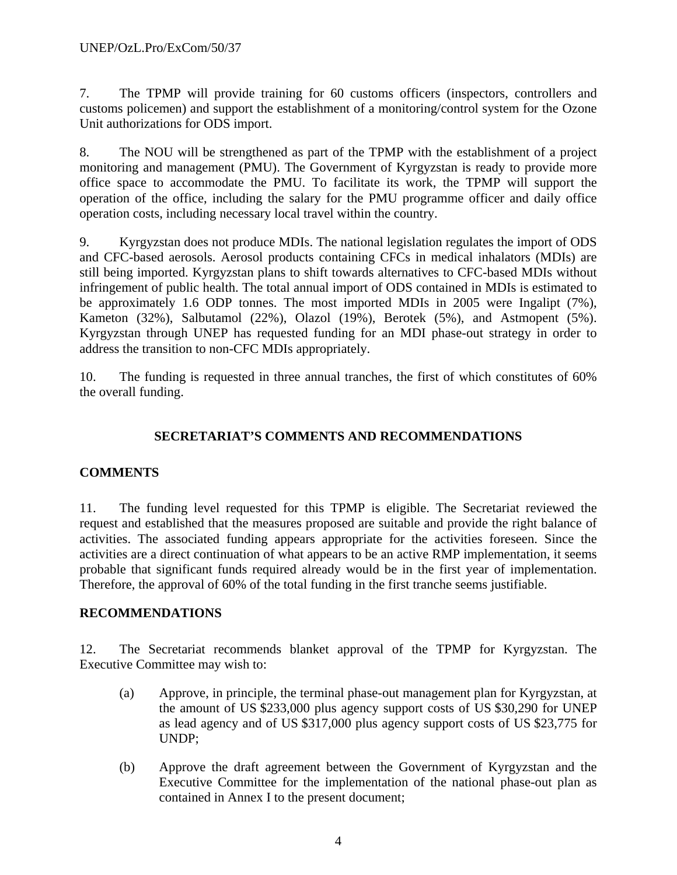7. The TPMP will provide training for 60 customs officers (inspectors, controllers and customs policemen) and support the establishment of a monitoring/control system for the Ozone Unit authorizations for ODS import.

8. The NOU will be strengthened as part of the TPMP with the establishment of a project monitoring and management (PMU). The Government of Kyrgyzstan is ready to provide more office space to accommodate the PMU. To facilitate its work, the TPMP will support the operation of the office, including the salary for the PMU programme officer and daily office operation costs, including necessary local travel within the country.

9. Kyrgyzstan does not produce MDIs. The national legislation regulates the import of ODS and CFC-based aerosols. Aerosol products containing CFCs in medical inhalators (MDIs) are still being imported. Kyrgyzstan plans to shift towards alternatives to CFC-based MDIs without infringement of public health. The total annual import of ODS contained in MDIs is estimated to be approximately 1.6 ODP tonnes. The most imported MDIs in 2005 were Ingalipt (7%), Kameton (32%), Salbutamol (22%), Olazol (19%), Berotek (5%), and Astmopent (5%). Kyrgyzstan through UNEP has requested funding for an MDI phase-out strategy in order to address the transition to non-CFC MDIs appropriately.

10. The funding is requested in three annual tranches, the first of which constitutes of 60% the overall funding.

## **SECRETARIAT'S COMMENTS AND RECOMMENDATIONS**

## **COMMENTS**

11. The funding level requested for this TPMP is eligible. The Secretariat reviewed the request and established that the measures proposed are suitable and provide the right balance of activities. The associated funding appears appropriate for the activities foreseen. Since the activities are a direct continuation of what appears to be an active RMP implementation, it seems probable that significant funds required already would be in the first year of implementation. Therefore, the approval of 60% of the total funding in the first tranche seems justifiable.

## **RECOMMENDATIONS**

12. The Secretariat recommends blanket approval of the TPMP for Kyrgyzstan. The Executive Committee may wish to:

- (a) Approve, in principle, the terminal phase-out management plan for Kyrgyzstan, at the amount of US \$233,000 plus agency support costs of US \$30,290 for UNEP as lead agency and of US \$317,000 plus agency support costs of US \$23,775 for UNDP;
- (b) Approve the draft agreement between the Government of Kyrgyzstan and the Executive Committee for the implementation of the national phase-out plan as contained in Annex I to the present document;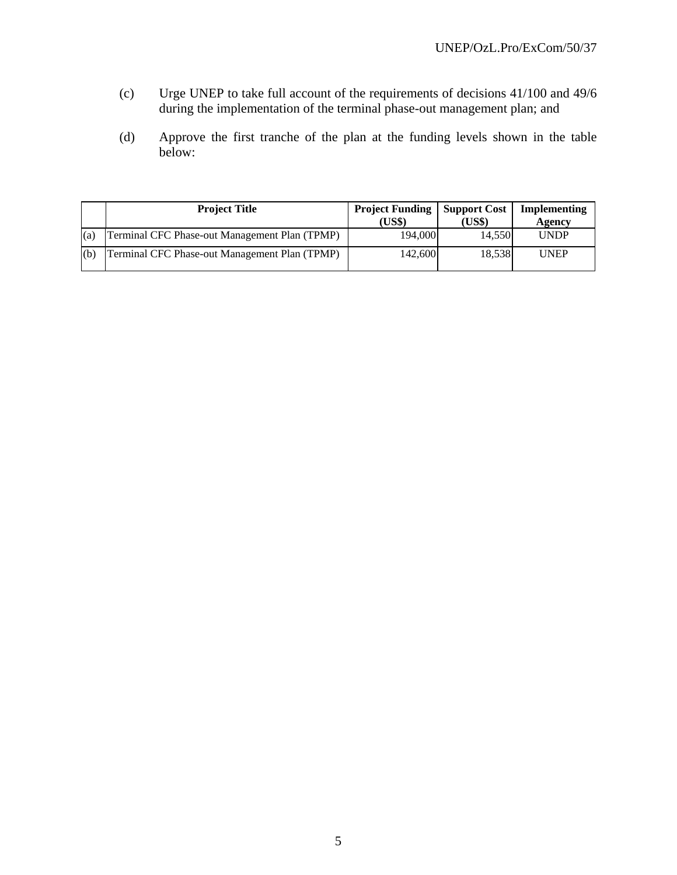- (c) Urge UNEP to take full account of the requirements of decisions 41/100 and 49/6 during the implementation of the terminal phase-out management plan; and
- (d) Approve the first tranche of the plan at the funding levels shown in the table below:

|     | <b>Project Title</b>                          | <b>Project Funding</b><br>(US\$) | <b>Support Cost</b><br><b>US\$</b> ) | Implementing<br>Agency |
|-----|-----------------------------------------------|----------------------------------|--------------------------------------|------------------------|
| (a) | Terminal CFC Phase-out Management Plan (TPMP) | 194.000                          | 14.550                               | <b>UNDP</b>            |
| (b) | Terminal CFC Phase-out Management Plan (TPMP) | 142,600                          | 18.538                               | <b>UNEP</b>            |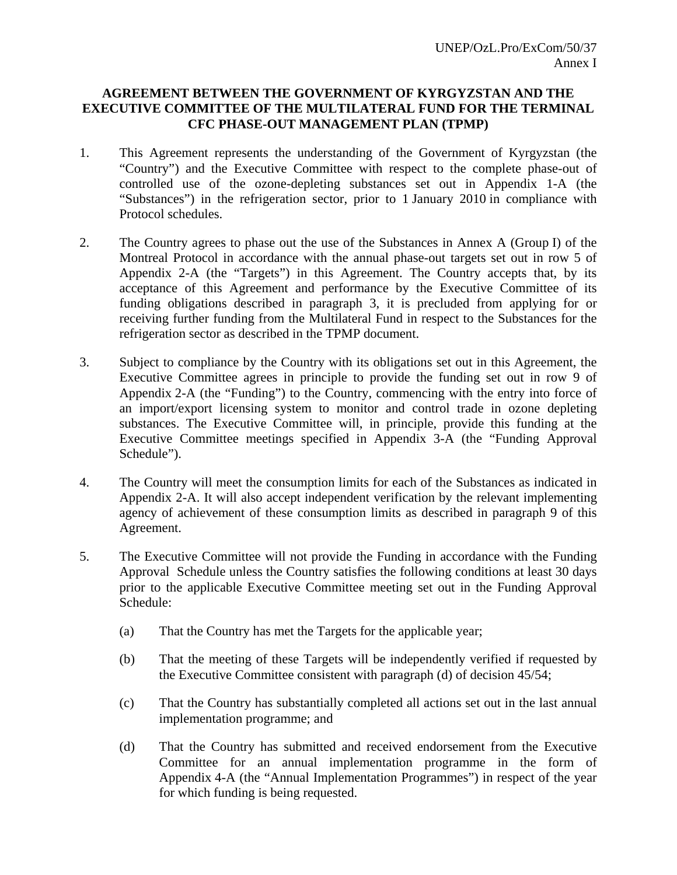#### **AGREEMENT BETWEEN THE GOVERNMENT OF KYRGYZSTAN AND THE EXECUTIVE COMMITTEE OF THE MULTILATERAL FUND FOR THE TERMINAL CFC PHASE-OUT MANAGEMENT PLAN (TPMP)**

- 1. This Agreement represents the understanding of the Government of Kyrgyzstan (the "Country") and the Executive Committee with respect to the complete phase-out of controlled use of the ozone-depleting substances set out in Appendix 1-A (the "Substances") in the refrigeration sector, prior to 1 January 2010 in compliance with Protocol schedules.
- 2. The Country agrees to phase out the use of the Substances in Annex A (Group I) of the Montreal Protocol in accordance with the annual phase-out targets set out in row 5 of Appendix 2-A (the "Targets") in this Agreement. The Country accepts that, by its acceptance of this Agreement and performance by the Executive Committee of its funding obligations described in paragraph 3, it is precluded from applying for or receiving further funding from the Multilateral Fund in respect to the Substances for the refrigeration sector as described in the TPMP document.
- 3. Subject to compliance by the Country with its obligations set out in this Agreement, the Executive Committee agrees in principle to provide the funding set out in row 9 of Appendix 2-A (the "Funding") to the Country, commencing with the entry into force of an import/export licensing system to monitor and control trade in ozone depleting substances. The Executive Committee will, in principle, provide this funding at the Executive Committee meetings specified in Appendix 3-A (the "Funding Approval Schedule").
- 4. The Country will meet the consumption limits for each of the Substances as indicated in Appendix 2-A. It will also accept independent verification by the relevant implementing agency of achievement of these consumption limits as described in paragraph 9 of this Agreement.
- 5. The Executive Committee will not provide the Funding in accordance with the Funding Approval Schedule unless the Country satisfies the following conditions at least 30 days prior to the applicable Executive Committee meeting set out in the Funding Approval Schedule:
	- (a) That the Country has met the Targets for the applicable year;
	- (b) That the meeting of these Targets will be independently verified if requested by the Executive Committee consistent with paragraph (d) of decision 45/54;
	- (c) That the Country has substantially completed all actions set out in the last annual implementation programme; and
	- (d) That the Country has submitted and received endorsement from the Executive Committee for an annual implementation programme in the form of Appendix 4-A (the "Annual Implementation Programmes") in respect of the year for which funding is being requested.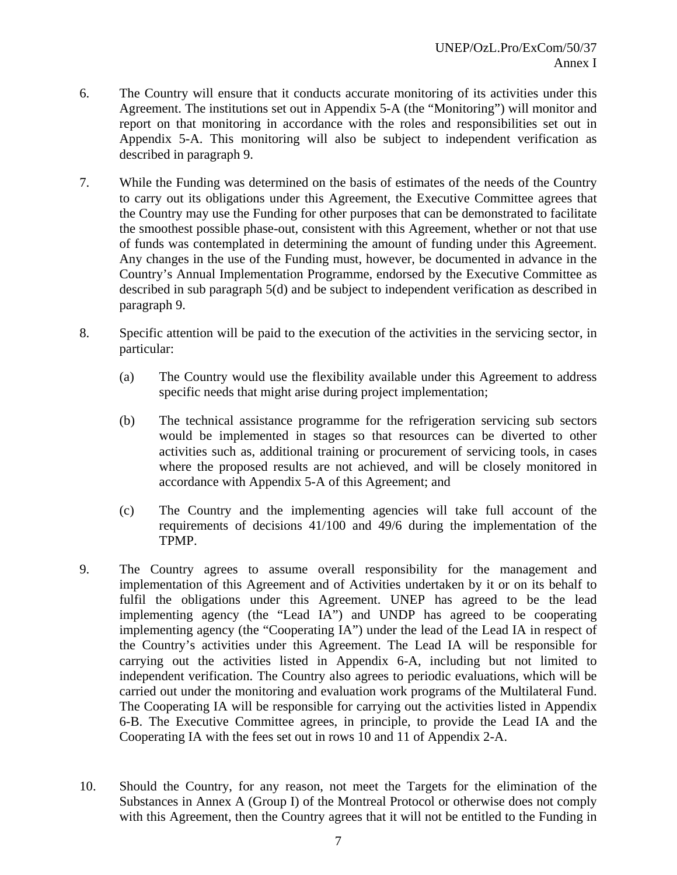- 6. The Country will ensure that it conducts accurate monitoring of its activities under this Agreement. The institutions set out in Appendix 5-A (the "Monitoring") will monitor and report on that monitoring in accordance with the roles and responsibilities set out in Appendix 5-A. This monitoring will also be subject to independent verification as described in paragraph 9.
- 7. While the Funding was determined on the basis of estimates of the needs of the Country to carry out its obligations under this Agreement, the Executive Committee agrees that the Country may use the Funding for other purposes that can be demonstrated to facilitate the smoothest possible phase-out, consistent with this Agreement, whether or not that use of funds was contemplated in determining the amount of funding under this Agreement. Any changes in the use of the Funding must, however, be documented in advance in the Country's Annual Implementation Programme, endorsed by the Executive Committee as described in sub paragraph 5(d) and be subject to independent verification as described in paragraph 9.
- 8. Specific attention will be paid to the execution of the activities in the servicing sector, in particular:
	- (a) The Country would use the flexibility available under this Agreement to address specific needs that might arise during project implementation;
	- (b) The technical assistance programme for the refrigeration servicing sub sectors would be implemented in stages so that resources can be diverted to other activities such as, additional training or procurement of servicing tools, in cases where the proposed results are not achieved, and will be closely monitored in accordance with Appendix 5-A of this Agreement; and
	- (c) The Country and the implementing agencies will take full account of the requirements of decisions 41/100 and 49/6 during the implementation of the TPMP.
- 9. The Country agrees to assume overall responsibility for the management and implementation of this Agreement and of Activities undertaken by it or on its behalf to fulfil the obligations under this Agreement. UNEP has agreed to be the lead implementing agency (the "Lead IA") and UNDP has agreed to be cooperating implementing agency (the "Cooperating IA") under the lead of the Lead IA in respect of the Country's activities under this Agreement. The Lead IA will be responsible for carrying out the activities listed in Appendix 6-A, including but not limited to independent verification. The Country also agrees to periodic evaluations, which will be carried out under the monitoring and evaluation work programs of the Multilateral Fund. The Cooperating IA will be responsible for carrying out the activities listed in Appendix 6-B. The Executive Committee agrees, in principle, to provide the Lead IA and the Cooperating IA with the fees set out in rows 10 and 11 of Appendix 2-A.
- 10. Should the Country, for any reason, not meet the Targets for the elimination of the Substances in Annex A (Group I) of the Montreal Protocol or otherwise does not comply with this Agreement, then the Country agrees that it will not be entitled to the Funding in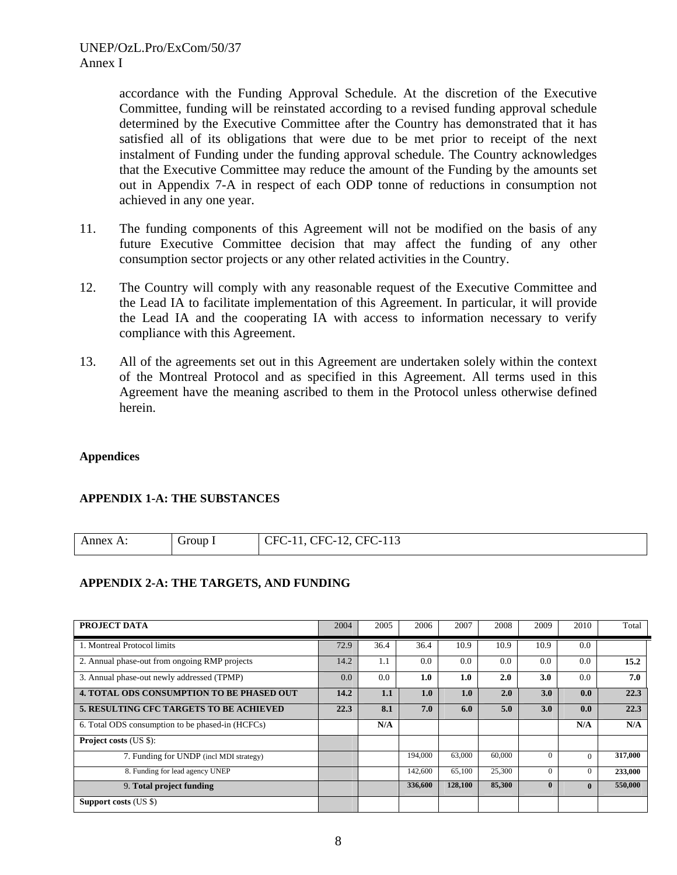accordance with the Funding Approval Schedule. At the discretion of the Executive Committee, funding will be reinstated according to a revised funding approval schedule determined by the Executive Committee after the Country has demonstrated that it has satisfied all of its obligations that were due to be met prior to receipt of the next instalment of Funding under the funding approval schedule. The Country acknowledges that the Executive Committee may reduce the amount of the Funding by the amounts set out in Appendix 7-A in respect of each ODP tonne of reductions in consumption not achieved in any one year.

- 11. The funding components of this Agreement will not be modified on the basis of any future Executive Committee decision that may affect the funding of any other consumption sector projects or any other related activities in the Country.
- 12. The Country will comply with any reasonable request of the Executive Committee and the Lead IA to facilitate implementation of this Agreement. In particular, it will provide the Lead IA and the cooperating IA with access to information necessary to verify compliance with this Agreement.
- 13. All of the agreements set out in this Agreement are undertaken solely within the context of the Montreal Protocol and as specified in this Agreement. All terms used in this Agreement have the meaning ascribed to them in the Protocol unless otherwise defined herein.

#### **Appendices**

#### **APPENDIX 1-A: THE SUBSTANCES**

| Annex A: | droup <b>J</b> | CFC-113<br>$\sim$ $\sim$<br>$\overline{\phantom{a}}$<br>$\mathbf{F}$<br>`FC<br>$\overline{\phantom{0}}$<br>. <i>.</i> |
|----------|----------------|-----------------------------------------------------------------------------------------------------------------------|

#### **APPENDIX 2-A: THE TARGETS, AND FUNDING**

| PROJECT DATA                                     | 2004 | 2005 | 2006    | 2007    | 2008   | 2009     | 2010         | Total   |
|--------------------------------------------------|------|------|---------|---------|--------|----------|--------------|---------|
| 1. Montreal Protocol limits                      | 72.9 | 36.4 | 36.4    | 10.9    | 10.9   | 10.9     | 0.0          |         |
| 2. Annual phase-out from ongoing RMP projects    | 14.2 | 1.1  | 0.0     | 0.0     | 0.0    | 0.0      | 0.0          | 15.2    |
| 3. Annual phase-out newly addressed (TPMP)       | 0.0  | 0.0  | 1.0     | 1.0     | 2.0    | 3.0      | 0.0          | 7.0     |
| <b>4. TOTAL ODS CONSUMPTION TO BE PHASED OUT</b> | 14.2 | 1.1  | 1.0     | 1.0     | 2.0    | 3.0      | 0.0          | 22.3    |
| 5. RESULTING CFC TARGETS TO BE ACHIEVED          | 22.3 | 8.1  | 7.0     | 6.0     | 5.0    | 3.0      | 0.0          | 22.3    |
| 6. Total ODS consumption to be phased-in (HCFCs) |      | N/A  |         |         |        |          | N/A          | N/A     |
| <b>Project costs (US \$):</b>                    |      |      |         |         |        |          |              |         |
| 7. Funding for UNDP (incl MDI strategy)          |      |      | 194,000 | 63,000  | 60,000 | $\Omega$ | $\Omega$     | 317,000 |
| 8. Funding for lead agency UNEP                  |      |      | 142,600 | 65,100  | 25,300 | $\Omega$ | $\Omega$     | 233,000 |
| 9. Total project funding                         |      |      | 336,600 | 128,100 | 85,300 | $\bf{0}$ | $\mathbf{0}$ | 550,000 |
| Support costs (US \$)                            |      |      |         |         |        |          |              |         |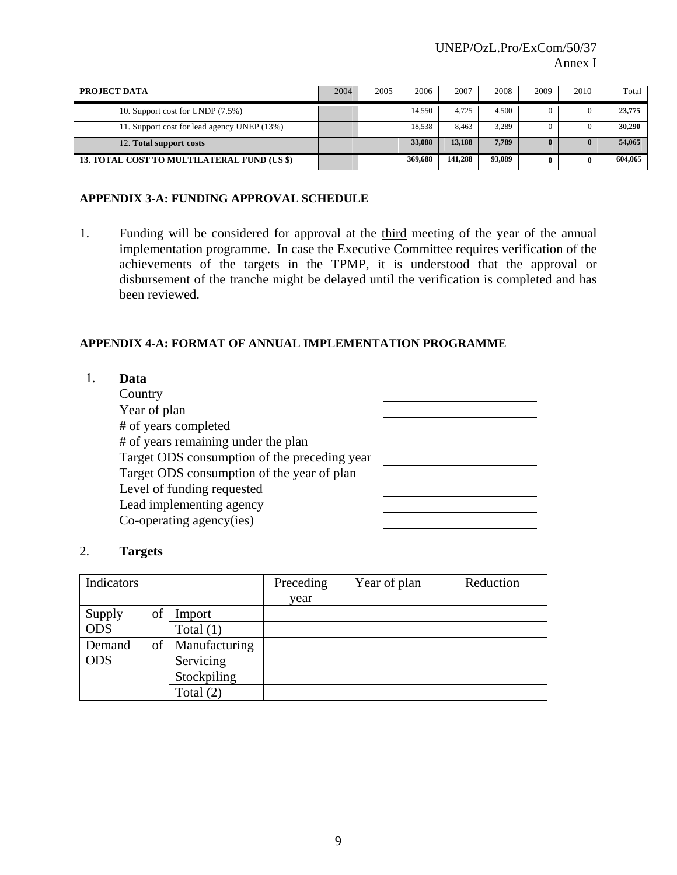UNEP/OzL.Pro/ExCom/50/37 Annex I

| PROJECT DATA                                       | 2004 | 2005 | 2006    | 2007    | 2008   | 2009 | 2010         | Total   |
|----------------------------------------------------|------|------|---------|---------|--------|------|--------------|---------|
| 10. Support cost for UNDP (7.5%)                   |      |      | 14.550  | 4.725   | 4.500  |      |              | 23,775  |
| 11. Support cost for lead agency UNEP (13%)        |      |      | 18.538  | 8.463   | 3,289  |      |              | 30,290  |
| 12. Total support costs                            |      |      | 33,088  | 13.188  | 7,789  |      |              | 54.065  |
| <b>13. TOTAL COST TO MULTILATERAL FUND (US \$)</b> |      |      | 369,688 | 141.288 | 93.089 | 0    | $\mathbf{0}$ | 604.065 |

#### **APPENDIX 3-A: FUNDING APPROVAL SCHEDULE**

1. Funding will be considered for approval at the third meeting of the year of the annual implementation programme. In case the Executive Committee requires verification of the achievements of the targets in the TPMP, it is understood that the approval or disbursement of the tranche might be delayed until the verification is completed and has been reviewed.

#### **APPENDIX 4-A: FORMAT OF ANNUAL IMPLEMENTATION PROGRAMME**

1. **Data** 

**Country**  Year of plan # of years completed # of years remaining under the plan Target ODS consumption of the preceding year Target ODS consumption of the year of plan Level of funding requested Lead implementing agency Co-operating agency(ies)

#### 2. **Targets**

| Indicators |    |               | Preceding | Year of plan | Reduction |
|------------|----|---------------|-----------|--------------|-----------|
|            |    |               | year      |              |           |
| Supply     | of | Import        |           |              |           |
| <b>ODS</b> |    | Total $(1)$   |           |              |           |
| Demand     | of | Manufacturing |           |              |           |
| <b>ODS</b> |    | Servicing     |           |              |           |
|            |    | Stockpiling   |           |              |           |
|            |    | Total $(2)$   |           |              |           |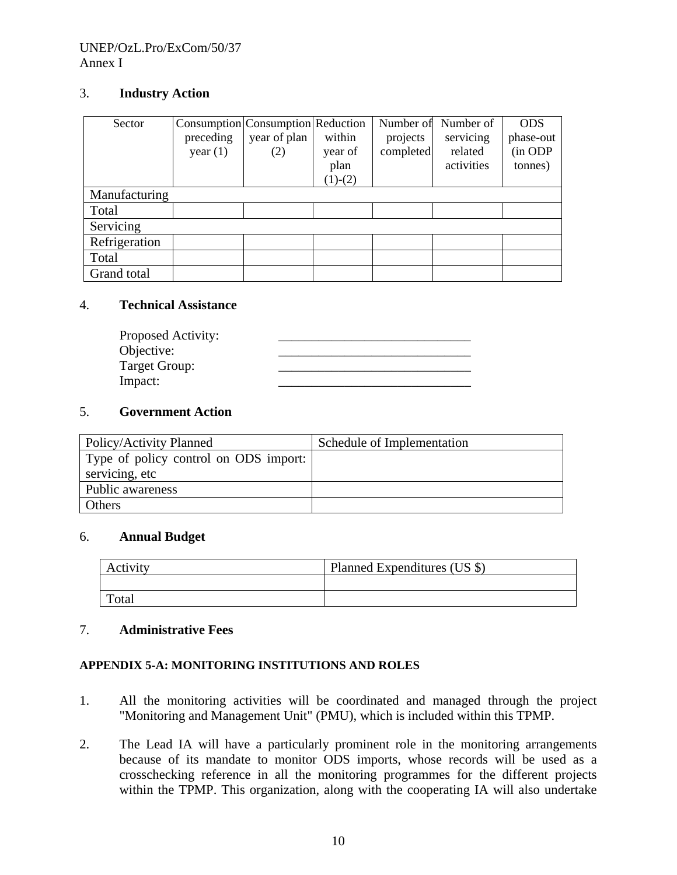#### UNEP/OzL.Pro/ExCom/50/37 Annex I

## 3. **Industry Action**

| Sector        |            | Consumption Consumption Reduction |           |           | Number of Number of | <b>ODS</b> |
|---------------|------------|-----------------------------------|-----------|-----------|---------------------|------------|
|               | preceding  | year of plan                      | within    | projects  | servicing           | phase-out  |
|               | year $(1)$ | (2)                               | year of   | completed | related             | (in ODP    |
|               |            |                                   | plan      |           | activities          | tonnes)    |
|               |            |                                   | $(1)-(2)$ |           |                     |            |
| Manufacturing |            |                                   |           |           |                     |            |
| Total         |            |                                   |           |           |                     |            |
| Servicing     |            |                                   |           |           |                     |            |
| Refrigeration |            |                                   |           |           |                     |            |
| Total         |            |                                   |           |           |                     |            |
| Grand total   |            |                                   |           |           |                     |            |

#### 4. **Technical Assistance**

#### 5. **Government Action**

| Policy/Activity Planned               | Schedule of Implementation |
|---------------------------------------|----------------------------|
| Type of policy control on ODS import: |                            |
| servicing, etc                        |                            |
| Public awareness                      |                            |
| Others                                |                            |

#### 6. **Annual Budget**

|      | Planned Expenditures (US \$) |
|------|------------------------------|
|      |                              |
| əta! |                              |

## 7. **Administrative Fees**

#### **APPENDIX 5-A: MONITORING INSTITUTIONS AND ROLES**

- 1. All the monitoring activities will be coordinated and managed through the project "Monitoring and Management Unit" (PMU), which is included within this TPMP.
- 2. The Lead IA will have a particularly prominent role in the monitoring arrangements because of its mandate to monitor ODS imports, whose records will be used as a crosschecking reference in all the monitoring programmes for the different projects within the TPMP. This organization, along with the cooperating IA will also undertake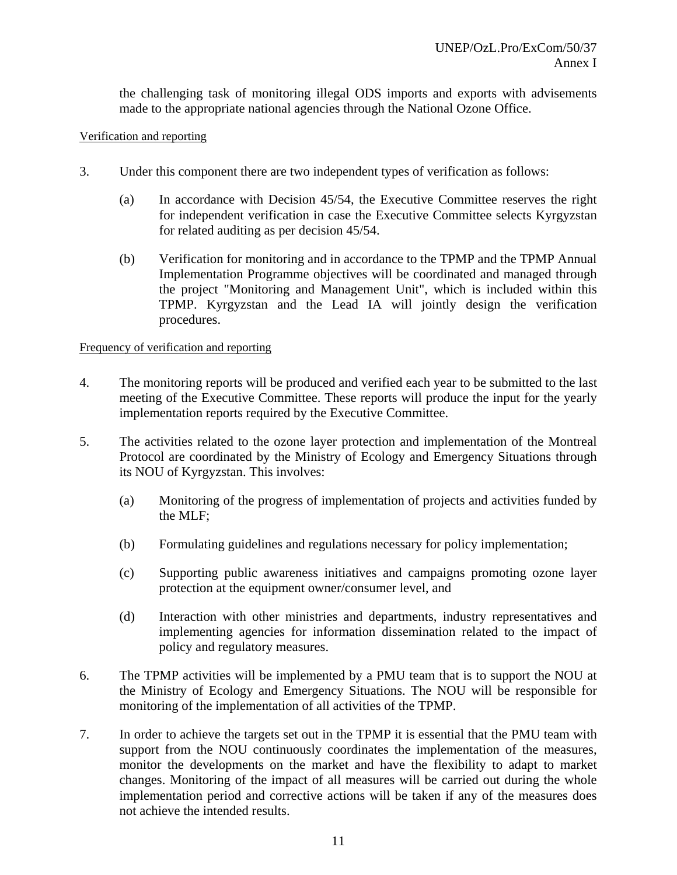the challenging task of monitoring illegal ODS imports and exports with advisements made to the appropriate national agencies through the National Ozone Office.

#### Verification and reporting

- 3. Under this component there are two independent types of verification as follows:
	- (a) In accordance with Decision 45/54, the Executive Committee reserves the right for independent verification in case the Executive Committee selects Kyrgyzstan for related auditing as per decision 45/54.
	- (b) Verification for monitoring and in accordance to the TPMP and the TPMP Annual Implementation Programme objectives will be coordinated and managed through the project "Monitoring and Management Unit", which is included within this TPMP. Kyrgyzstan and the Lead IA will jointly design the verification procedures.

#### Frequency of verification and reporting

- 4. The monitoring reports will be produced and verified each year to be submitted to the last meeting of the Executive Committee. These reports will produce the input for the yearly implementation reports required by the Executive Committee.
- 5. The activities related to the ozone layer protection and implementation of the Montreal Protocol are coordinated by the Ministry of Ecology and Emergency Situations through its NOU of Kyrgyzstan. This involves:
	- (a) Monitoring of the progress of implementation of projects and activities funded by the MLF;
	- (b) Formulating guidelines and regulations necessary for policy implementation;
	- (c) Supporting public awareness initiatives and campaigns promoting ozone layer protection at the equipment owner/consumer level, and
	- (d) Interaction with other ministries and departments, industry representatives and implementing agencies for information dissemination related to the impact of policy and regulatory measures.
- 6. The TPMP activities will be implemented by a PMU team that is to support the NOU at the Ministry of Ecology and Emergency Situations. The NOU will be responsible for monitoring of the implementation of all activities of the TPMP.
- 7. In order to achieve the targets set out in the TPMP it is essential that the PMU team with support from the NOU continuously coordinates the implementation of the measures, monitor the developments on the market and have the flexibility to adapt to market changes. Monitoring of the impact of all measures will be carried out during the whole implementation period and corrective actions will be taken if any of the measures does not achieve the intended results.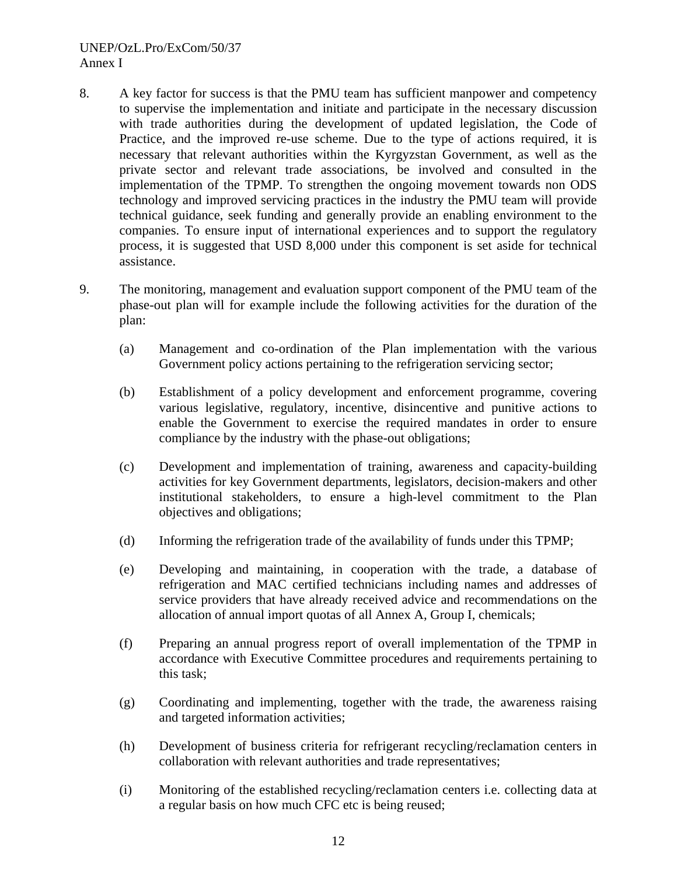#### UNEP/OzL.Pro/ExCom/50/37 Annex I

- 8. A key factor for success is that the PMU team has sufficient manpower and competency to supervise the implementation and initiate and participate in the necessary discussion with trade authorities during the development of updated legislation, the Code of Practice, and the improved re-use scheme. Due to the type of actions required, it is necessary that relevant authorities within the Kyrgyzstan Government, as well as the private sector and relevant trade associations, be involved and consulted in the implementation of the TPMP. To strengthen the ongoing movement towards non ODS technology and improved servicing practices in the industry the PMU team will provide technical guidance, seek funding and generally provide an enabling environment to the companies. To ensure input of international experiences and to support the regulatory process, it is suggested that USD 8,000 under this component is set aside for technical assistance.
- 9. The monitoring, management and evaluation support component of the PMU team of the phase-out plan will for example include the following activities for the duration of the plan:
	- (a) Management and co-ordination of the Plan implementation with the various Government policy actions pertaining to the refrigeration servicing sector;
	- (b) Establishment of a policy development and enforcement programme, covering various legislative, regulatory, incentive, disincentive and punitive actions to enable the Government to exercise the required mandates in order to ensure compliance by the industry with the phase-out obligations;
	- (c) Development and implementation of training, awareness and capacity-building activities for key Government departments, legislators, decision-makers and other institutional stakeholders, to ensure a high-level commitment to the Plan objectives and obligations;
	- (d) Informing the refrigeration trade of the availability of funds under this TPMP;
	- (e) Developing and maintaining, in cooperation with the trade, a database of refrigeration and MAC certified technicians including names and addresses of service providers that have already received advice and recommendations on the allocation of annual import quotas of all Annex A, Group I, chemicals;
	- (f) Preparing an annual progress report of overall implementation of the TPMP in accordance with Executive Committee procedures and requirements pertaining to this task;
	- (g) Coordinating and implementing, together with the trade, the awareness raising and targeted information activities;
	- (h) Development of business criteria for refrigerant recycling/reclamation centers in collaboration with relevant authorities and trade representatives;
	- (i) Monitoring of the established recycling/reclamation centers i.e. collecting data at a regular basis on how much CFC etc is being reused;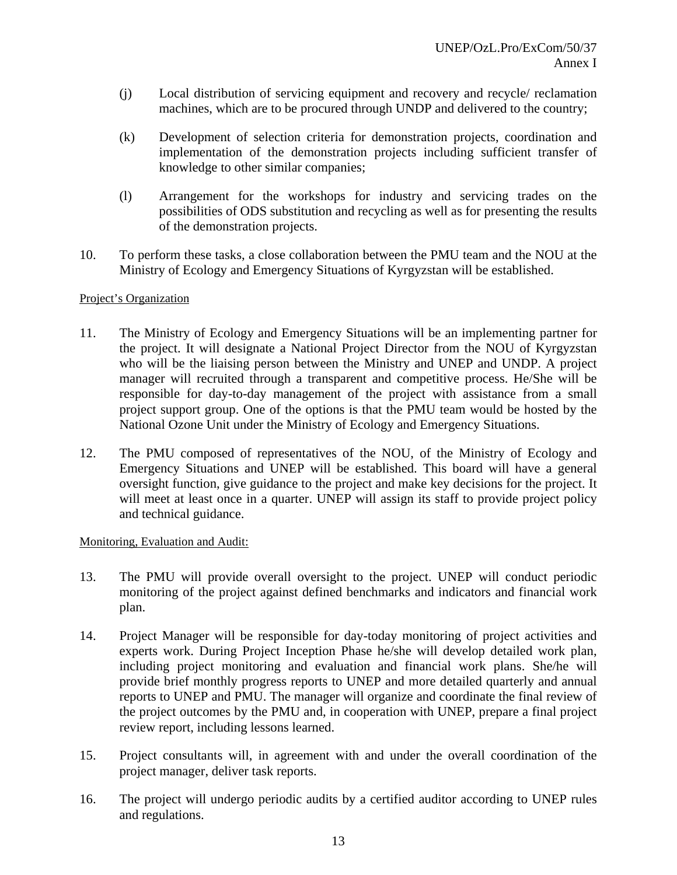- (j) Local distribution of servicing equipment and recovery and recycle/ reclamation machines, which are to be procured through UNDP and delivered to the country;
- (k) Development of selection criteria for demonstration projects, coordination and implementation of the demonstration projects including sufficient transfer of knowledge to other similar companies;
- (l) Arrangement for the workshops for industry and servicing trades on the possibilities of ODS substitution and recycling as well as for presenting the results of the demonstration projects.
- 10. To perform these tasks, a close collaboration between the PMU team and the NOU at the Ministry of Ecology and Emergency Situations of Kyrgyzstan will be established.

#### Project's Organization

- 11. The Ministry of Ecology and Emergency Situations will be an implementing partner for the project. It will designate a National Project Director from the NOU of Kyrgyzstan who will be the liaising person between the Ministry and UNEP and UNDP. A project manager will recruited through a transparent and competitive process. He/She will be responsible for day-to-day management of the project with assistance from a small project support group. One of the options is that the PMU team would be hosted by the National Ozone Unit under the Ministry of Ecology and Emergency Situations.
- 12. The PMU composed of representatives of the NOU, of the Ministry of Ecology and Emergency Situations and UNEP will be established. This board will have a general oversight function, give guidance to the project and make key decisions for the project. It will meet at least once in a quarter. UNEP will assign its staff to provide project policy and technical guidance.

#### Monitoring, Evaluation and Audit:

- 13. The PMU will provide overall oversight to the project. UNEP will conduct periodic monitoring of the project against defined benchmarks and indicators and financial work plan.
- 14. Project Manager will be responsible for day-today monitoring of project activities and experts work. During Project Inception Phase he/she will develop detailed work plan, including project monitoring and evaluation and financial work plans. She/he will provide brief monthly progress reports to UNEP and more detailed quarterly and annual reports to UNEP and PMU. The manager will organize and coordinate the final review of the project outcomes by the PMU and, in cooperation with UNEP, prepare a final project review report, including lessons learned.
- 15. Project consultants will, in agreement with and under the overall coordination of the project manager, deliver task reports.
- 16. The project will undergo periodic audits by a certified auditor according to UNEP rules and regulations.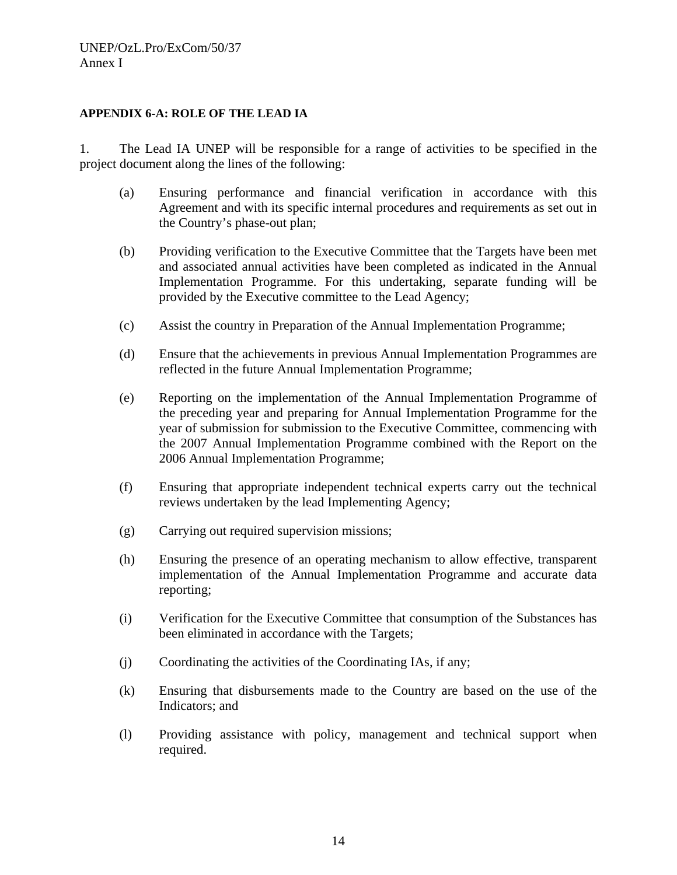#### **APPENDIX 6-A: ROLE OF THE LEAD IA**

1. The Lead IA UNEP will be responsible for a range of activities to be specified in the project document along the lines of the following:

- (a) Ensuring performance and financial verification in accordance with this Agreement and with its specific internal procedures and requirements as set out in the Country's phase-out plan;
- (b) Providing verification to the Executive Committee that the Targets have been met and associated annual activities have been completed as indicated in the Annual Implementation Programme. For this undertaking, separate funding will be provided by the Executive committee to the Lead Agency;
- (c) Assist the country in Preparation of the Annual Implementation Programme;
- (d) Ensure that the achievements in previous Annual Implementation Programmes are reflected in the future Annual Implementation Programme;
- (e) Reporting on the implementation of the Annual Implementation Programme of the preceding year and preparing for Annual Implementation Programme for the year of submission for submission to the Executive Committee, commencing with the 2007 Annual Implementation Programme combined with the Report on the 2006 Annual Implementation Programme;
- (f) Ensuring that appropriate independent technical experts carry out the technical reviews undertaken by the lead Implementing Agency;
- (g) Carrying out required supervision missions;
- (h) Ensuring the presence of an operating mechanism to allow effective, transparent implementation of the Annual Implementation Programme and accurate data reporting;
- (i) Verification for the Executive Committee that consumption of the Substances has been eliminated in accordance with the Targets;
- (j) Coordinating the activities of the Coordinating IAs, if any;
- (k) Ensuring that disbursements made to the Country are based on the use of the Indicators; and
- (l) Providing assistance with policy, management and technical support when required.